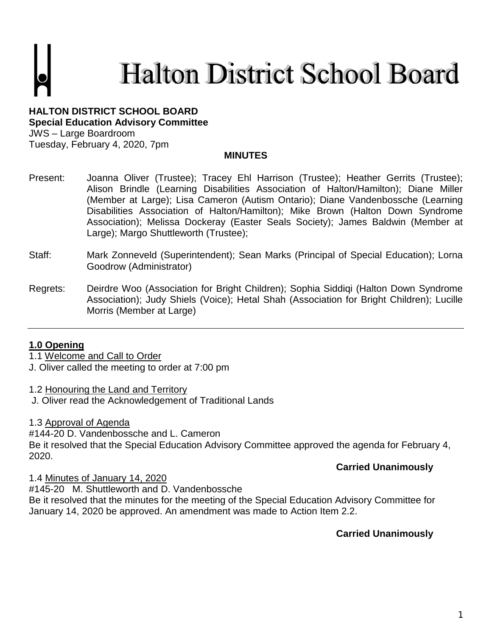**Halton District School Board** 

**HALTON DISTRICT SCHOOL BOARD Special Education Advisory Committee** JWS – Large Boardroom

Tuesday, February 4, 2020, 7pm

### **MINUTES**

- Present: Joanna Oliver (Trustee); Tracey Ehl Harrison (Trustee); Heather Gerrits (Trustee); Alison Brindle (Learning Disabilities Association of Halton/Hamilton); Diane Miller (Member at Large); Lisa Cameron (Autism Ontario); Diane Vandenbossche (Learning Disabilities Association of Halton/Hamilton); Mike Brown (Halton Down Syndrome Association); Melissa Dockeray (Easter Seals Society); James Baldwin (Member at Large); Margo Shuttleworth (Trustee);
- Staff: Mark Zonneveld (Superintendent); Sean Marks (Principal of Special Education); Lorna Goodrow (Administrator)
- Regrets: Deirdre Woo (Association for Bright Children); Sophia Siddiqi (Halton Down Syndrome Association); Judy Shiels (Voice); Hetal Shah (Association for Bright Children); Lucille Morris (Member at Large)

### **1.0 Opening**

1.1 Welcome and Call to Order

J. Oliver called the meeting to order at 7:00 pm

1.2 Honouring the Land and Territory

J. Oliver read the Acknowledgement of Traditional Lands

1.3 Approval of Agenda

#144-20 D. Vandenbossche and L. Cameron Be it resolved that the Special Education Advisory Committee approved the agenda for February 4, 2020.

### **Carried Unanimously**

1.4 Minutes of January 14, 2020

#145-20 M. Shuttleworth and D. Vandenbossche Be it resolved that the minutes for the meeting of the Special Education Advisory Committee for January 14, 2020 be approved. An amendment was made to Action Item 2.2.

## **Carried Unanimously**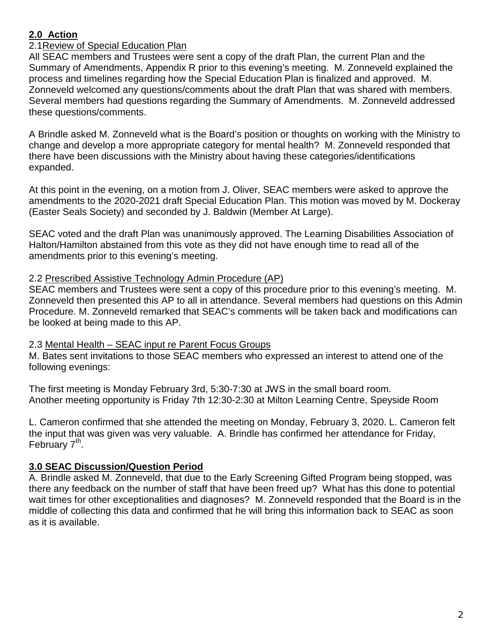## **2.0 Action**

## 2.1Review of Special Education Plan

All SEAC members and Trustees were sent a copy of the draft Plan, the current Plan and the Summary of Amendments, Appendix R prior to this evening's meeting. M. Zonneveld explained the process and timelines regarding how the Special Education Plan is finalized and approved. M. Zonneveld welcomed any questions/comments about the draft Plan that was shared with members. Several members had questions regarding the Summary of Amendments. M. Zonneveld addressed these questions/comments.

A Brindle asked M. Zonneveld what is the Board's position or thoughts on working with the Ministry to change and develop a more appropriate category for mental health? M. Zonneveld responded that there have been discussions with the Ministry about having these categories/identifications expanded.

At this point in the evening, on a motion from J. Oliver, SEAC members were asked to approve the amendments to the 2020-2021 draft Special Education Plan. This motion was moved by M. Dockeray (Easter Seals Society) and seconded by J. Baldwin (Member At Large).

SEAC voted and the draft Plan was unanimously approved. The Learning Disabilities Association of Halton/Hamilton abstained from this vote as they did not have enough time to read all of the amendments prior to this evening's meeting.

## 2.2 Prescribed Assistive Technology Admin Procedure (AP)

SEAC members and Trustees were sent a copy of this procedure prior to this evening's meeting. M. Zonneveld then presented this AP to all in attendance. Several members had questions on this Admin Procedure. M. Zonneveld remarked that SEAC's comments will be taken back and modifications can be looked at being made to this AP.

### 2.3 Mental Health – SEAC input re Parent Focus Groups

M. Bates sent invitations to those SEAC members who expressed an interest to attend one of the following evenings:

The first meeting is Monday February 3rd, 5:30-7:30 at JWS in the small board room. Another meeting opportunity is Friday 7th 12:30-2:30 at Milton Learning Centre, Speyside Room

L. Cameron confirmed that she attended the meeting on Monday, February 3, 2020. L. Cameron felt the input that was given was very valuable. A. Brindle has confirmed her attendance for Friday, February 7<sup>th</sup>.

## **3.0 SEAC Discussion/Question Period**

A. Brindle asked M. Zonneveld, that due to the Early Screening Gifted Program being stopped, was there any feedback on the number of staff that have been freed up? What has this done to potential wait times for other exceptionalities and diagnoses? M. Zonneveld responded that the Board is in the middle of collecting this data and confirmed that he will bring this information back to SEAC as soon as it is available.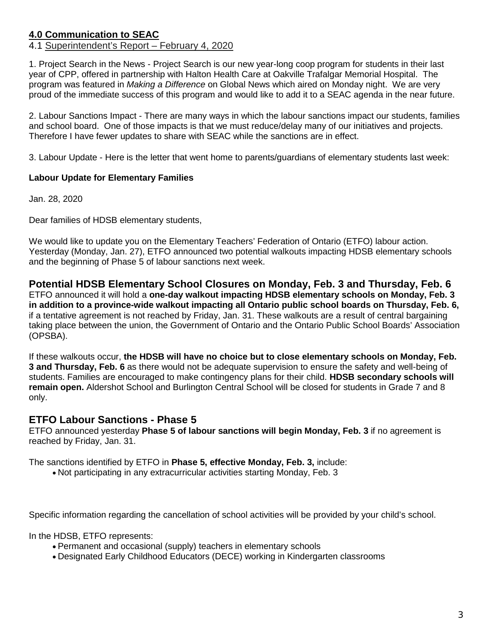# **4.0 Communication to SEAC**

### 4.1 Superintendent's Report – February 4, 2020

1. Project Search in the News - Project Search is our new year-long coop program for students in their last year of CPP, offered in partnership with Halton Health Care at Oakville Trafalgar Memorial Hospital. The program was featured in *Making a Difference* on Global News which aired on Monday night. We are very proud of the immediate success of this program and would like to add it to a SEAC agenda in the near future.

2. Labour Sanctions Impact - There are many ways in which the labour sanctions impact our students, families and school board. One of those impacts is that we must reduce/delay many of our initiatives and projects. Therefore I have fewer updates to share with SEAC while the sanctions are in effect.

3. Labour Update - Here is the letter that went home to parents/guardians of elementary students last week:

#### **Labour Update for Elementary Families**

Jan. 28, 2020

Dear families of HDSB elementary students,

We would like to update you on the Elementary Teachers' Federation of Ontario (ETFO) labour action. Yesterday (Monday, Jan. 27), ETFO announced two potential walkouts impacting HDSB elementary schools and the beginning of Phase 5 of labour sanctions next week.

**Potential HDSB Elementary School Closures on Monday, Feb. 3 and Thursday, Feb. 6** ETFO announced it will hold a **one-day walkout impacting HDSB elementary schools on Monday, Feb. 3 in addition to a province-wide walkout impacting all Ontario public school boards on Thursday, Feb. 6,** if a tentative agreement is not reached by Friday, Jan. 31. These walkouts are a result of central bargaining taking place between the union, the Government of Ontario and the Ontario Public School Boards' Association (OPSBA).

If these walkouts occur, **the HDSB will have no choice but to close elementary schools on Monday, Feb. 3 and Thursday, Feb. 6** as there would not be adequate supervision to ensure the safety and well-being of students. Families are encouraged to make contingency plans for their child. **HDSB secondary schools will remain open.** Aldershot School and Burlington Central School will be closed for students in Grade 7 and 8 only.

## **ETFO Labour Sanctions - Phase 5**

ETFO announced yesterday **Phase 5 of labour sanctions will begin Monday, Feb. 3** if no agreement is reached by Friday, Jan. 31.

The sanctions identified by ETFO in **Phase 5, effective Monday, Feb. 3,** include:

• Not participating in any extracurricular activities starting Monday, Feb. 3

Specific information regarding the cancellation of school activities will be provided by your child's school.

In the HDSB, ETFO represents:

- Permanent and occasional (supply) teachers in elementary schools
- Designated Early Childhood Educators (DECE) working in Kindergarten classrooms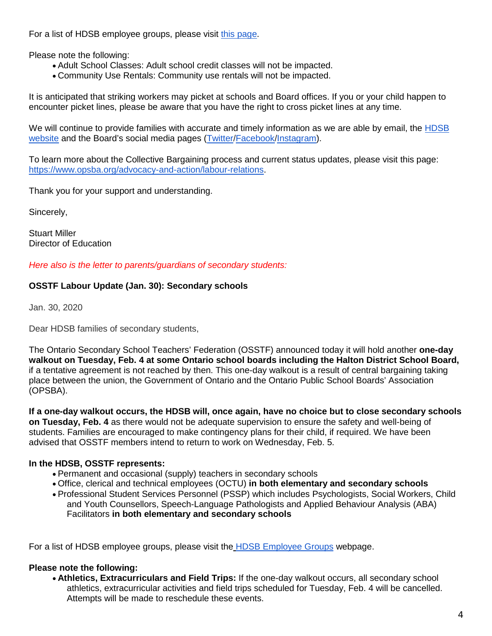For a list of HDSB employee groups, please visit [this page.](https://www.hdsb.ca/our-board/Pages/HDSB-Employee-Groups.aspx)

Please note the following:

- Adult School Classes: Adult school credit classes will not be impacted.
- Community Use Rentals: Community use rentals will not be impacted.

It is anticipated that striking workers may picket at schools and Board offices. If you or your child happen to encounter picket lines, please be aware that you have the right to cross picket lines at any time.

We will continue to provide families with accurate and timely information as we are able by email, the **HDSB** [website](https://www.hdsb.ca/our-board/Pages/Labour-Updates.aspx) and the Board's social media pages [\(Twitter/](https://twitter.com/HaltonDSB)[Facebook/](https://www.facebook.com/HaltonDistrictSchoolBoard/)[Instagram\)](https://www.instagram.com/hdsbschools/?hl=en).

To learn more about the Collective Bargaining process and current status updates, please visit this page: [https://www.opsba.org/advocacy-and-action/labour-relations.](https://www.opsba.org/advocacy-and-action/labour-relations)

Thank you for your support and understanding.

Sincerely,

Stuart Miller Director of Education

*Here also is the letter to parents/guardians of secondary students:*

### **OSSTF Labour Update (Jan. 30): Secondary schools**

Jan. 30, 2020

Dear HDSB families of secondary students,

The Ontario Secondary School Teachers' Federation (OSSTF) announced today it will hold another **one-day walkout on Tuesday, Feb. 4 at some Ontario school boards including the Halton District School Board,** if a tentative agreement is not reached by then. This one-day walkout is a result of central bargaining taking place between the union, the Government of Ontario and the Ontario Public School Boards' Association (OPSBA).

**If a one-day walkout occurs, the HDSB will, once again, have no choice but to close secondary schools on Tuesday, Feb. 4** as there would not be adequate supervision to ensure the safety and well-being of students. Families are encouraged to make contingency plans for their child, if required. We have been advised that OSSTF members intend to return to work on Wednesday, Feb. 5.

#### **In the HDSB, OSSTF represents:**

- Permanent and occasional (supply) teachers in secondary schools
- Office, clerical and technical employees (OCTU) **in both elementary and secondary schools**
- Professional Student Services Personnel (PSSP) which includes Psychologists, Social Workers, Child and Youth Counsellors, Speech-Language Pathologists and Applied Behaviour Analysis (ABA) Facilitators **in both elementary and secondary schools**

For a list of HDSB employee groups, please visit the [HDSB Employee Groups](https://www.hdsb.ca/our-board/Pages/HDSB-Employee-Groups.aspx) webpage.

### **Please note the following:**

• **Athletics, Extracurriculars and Field Trips:** If the one-day walkout occurs, all secondary school athletics, extracurricular activities and field trips scheduled for Tuesday, Feb. 4 will be cancelled. Attempts will be made to reschedule these events.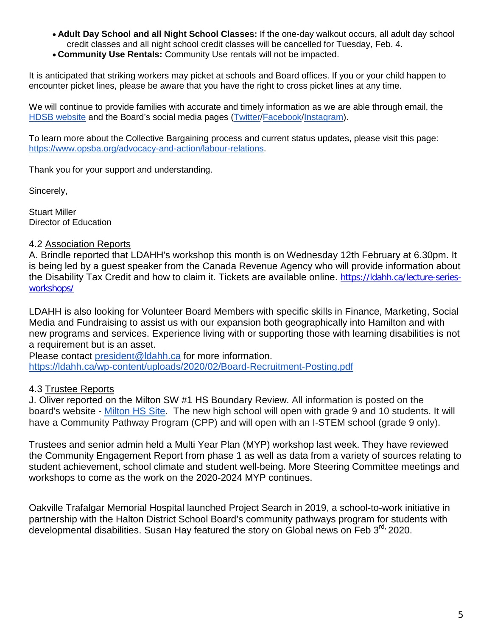- **Adult Day School and all Night School Classes:** If the one-day walkout occurs, all adult day school credit classes and all night school credit classes will be cancelled for Tuesday, Feb. 4.
- **Community Use Rentals:** Community Use rentals will not be impacted.

It is anticipated that striking workers may picket at schools and Board offices. If you or your child happen to encounter picket lines, please be aware that you have the right to cross picket lines at any time.

We will continue to provide families with accurate and timely information as we are able through email, the [HDSB website](https://www.hdsb.ca/our-board/Pages/Labour-Updates.aspx) and the Board's social media pages [\(Twitter](https://twitter.com/HaltonDSB)[/Facebook/](https://www.facebook.com/HaltonDistrictSchoolBoard/)[Instagram\)](https://www.instagram.com/hdsbschools/?hl=en).

To learn more about the Collective Bargaining process and current status updates, please visit this page: [https://www.opsba.org/advocacy-and-action/labour-relations.](https://www.opsba.org/advocacy-and-action/labour-relations)

Thank you for your support and understanding.

Sincerely,

Stuart Miller Director of Education

### 4.2 Association Reports

A. Brindle reported that LDAHH's workshop this month is on Wednesday 12th February at 6.30pm. It is being led by a guest speaker from the Canada Revenue Agency who will provide information about the Disability Tax Credit and how to claim it. Tickets are available online. [https://ldahh.ca/lecture-series](https://ldahh.ca/lecture-series-workshops/)[workshops/](https://ldahh.ca/lecture-series-workshops/)

LDAHH is also looking for Volunteer Board Members with specific skills in Finance, Marketing, Social Media and Fundraising to assist us with our expansion both geographically into Hamilton and with new programs and services. Experience living with or supporting those with learning disabilities is not a requirement but is an asset.

Please contact [president@ldahh.ca](mailto:president@ldahh.ca) for more information. <https://ldahh.ca/wp-content/uploads/2020/02/Board-Recruitment-Posting.pdf>

### 4.3 Trustee Reports

J. Oliver reported on the Milton SW #1 HS Boundary Review. All information is posted on the board's website - [Milton HS Site.](https://www.hdsb.ca/schools/Pages/School%20Boundary%20Reviews/Current%20Boundary%20Reviews/Milton-SW-1-hs-Boundary-Review.aspx) The new high school will open with grade 9 and 10 students. It will have a Community Pathway Program (CPP) and will open with an I-STEM school (grade 9 only).

Trustees and senior admin held a Multi Year Plan (MYP) workshop last week. They have reviewed the Community Engagement Report from phase 1 as well as data from a variety of sources relating to student achievement, school climate and student well-being. More Steering Committee meetings and workshops to come as the work on the 2020-2024 MYP continues.

Oakville Trafalgar Memorial Hospital launched Project Search in 2019, a school-to-work initiative in partnership with the Halton District School Board's community pathways program for students with developmental disabilities. Susan Hay featured the story on Global news on Feb 3<sup>rd,</sup> 2020.